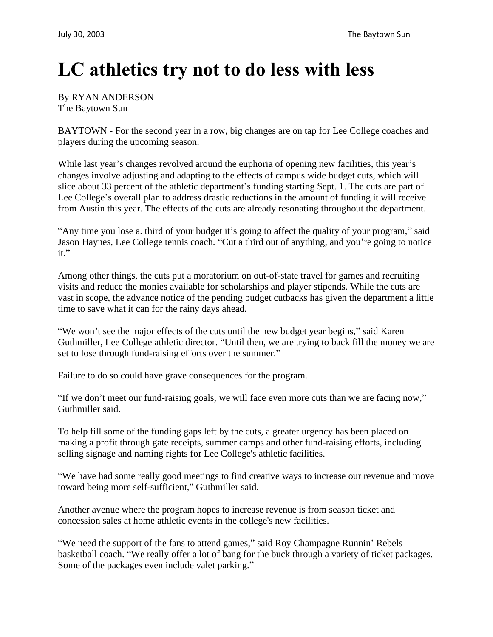## **LC athletics try not to do less with less**

By RYAN ANDERSON The Baytown Sun

BAYTOWN - For the second year in a row, big changes are on tap for Lee College coaches and players during the upcoming season.

While last year's changes revolved around the euphoria of opening new facilities, this year's changes involve adjusting and adapting to the effects of campus wide budget cuts, which will slice about 33 percent of the athletic department's funding starting Sept. 1. The cuts are part of Lee College's overall plan to address drastic reductions in the amount of funding it will receive from Austin this year. The effects of the cuts are already resonating throughout the department.

"Any time you lose a. third of your budget it's going to affect the quality of your program," said Jason Haynes, Lee College tennis coach. "Cut a third out of anything, and you're going to notice it."

Among other things, the cuts put a moratorium on out-of-state travel for games and recruiting visits and reduce the monies available for scholarships and player stipends. While the cuts are vast in scope, the advance notice of the pending budget cutbacks has given the department a little time to save what it can for the rainy days ahead.

"We won't see the major effects of the cuts until the new budget year begins," said Karen Guthmiller, Lee College athletic director. "Until then, we are trying to back fill the money we are set to lose through fund-raising efforts over the summer."

Failure to do so could have grave consequences for the program.

"If we don't meet our fund-raising goals, we will face even more cuts than we are facing now," Guthmiller said.

To help fill some of the funding gaps left by the cuts, a greater urgency has been placed on making a profit through gate receipts, summer camps and other fund-raising efforts, including selling signage and naming rights for Lee College's athletic facilities.

"We have had some really good meetings to find creative ways to increase our revenue and move toward being more self-sufficient," Guthmiller said.

Another avenue where the program hopes to increase revenue is from season ticket and concession sales at home athletic events in the college's new facilities.

"We need the support of the fans to attend games," said Roy Champagne Runnin' Rebels basketball coach. "We really offer a lot of bang for the buck through a variety of ticket packages. Some of the packages even include valet parking."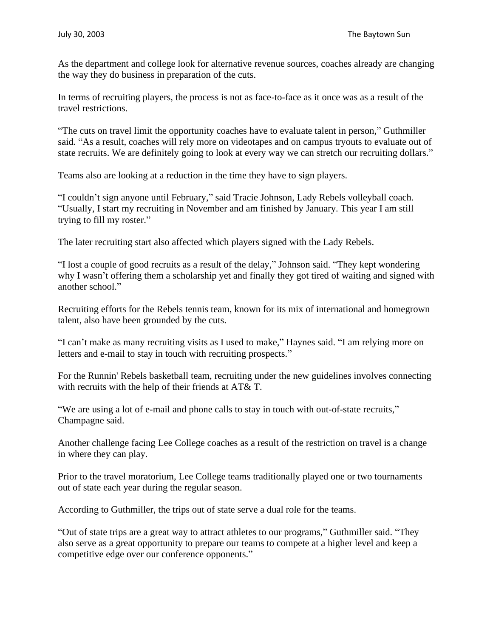As the department and college look for alternative revenue sources, coaches already are changing the way they do business in preparation of the cuts.

In terms of recruiting players, the process is not as face-to-face as it once was as a result of the travel restrictions.

"The cuts on travel limit the opportunity coaches have to evaluate talent in person," Guthmiller said. "As a result, coaches will rely more on videotapes and on campus tryouts to evaluate out of state recruits. We are definitely going to look at every way we can stretch our recruiting dollars."

Teams also are looking at a reduction in the time they have to sign players.

"I couldn't sign anyone until February," said Tracie Johnson, Lady Rebels volleyball coach. "Usually, I start my recruiting in November and am finished by January. This year I am still trying to fill my roster."

The later recruiting start also affected which players signed with the Lady Rebels.

"I lost a couple of good recruits as a result of the delay," Johnson said. "They kept wondering why I wasn't offering them a scholarship yet and finally they got tired of waiting and signed with another school."

Recruiting efforts for the Rebels tennis team, known for its mix of international and homegrown talent, also have been grounded by the cuts.

"I can't make as many recruiting visits as I used to make," Haynes said. "I am relying more on letters and e-mail to stay in touch with recruiting prospects."

For the Runnin' Rebels basketball team, recruiting under the new guidelines involves connecting with recruits with the help of their friends at AT& T.

"We are using a lot of e-mail and phone calls to stay in touch with out-of-state recruits," Champagne said.

Another challenge facing Lee College coaches as a result of the restriction on travel is a change in where they can play.

Prior to the travel moratorium, Lee College teams traditionally played one or two tournaments out of state each year during the regular season.

According to Guthmiller, the trips out of state serve a dual role for the teams.

"Out of state trips are a great way to attract athletes to our programs," Guthmiller said. "They also serve as a great opportunity to prepare our teams to compete at a higher level and keep a competitive edge over our conference opponents."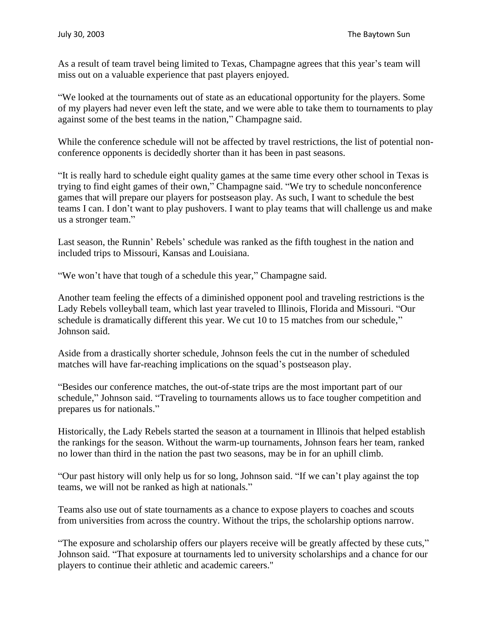As a result of team travel being limited to Texas, Champagne agrees that this year's team will miss out on a valuable experience that past players enjoyed.

"We looked at the tournaments out of state as an educational opportunity for the players. Some of my players had never even left the state, and we were able to take them to tournaments to play against some of the best teams in the nation," Champagne said.

While the conference schedule will not be affected by travel restrictions, the list of potential nonconference opponents is decidedly shorter than it has been in past seasons.

"It is really hard to schedule eight quality games at the same time every other school in Texas is trying to find eight games of their own," Champagne said. "We try to schedule nonconference games that will prepare our players for postseason play. As such, I want to schedule the best teams I can. I don't want to play pushovers. I want to play teams that will challenge us and make us a stronger team."

Last season, the Runnin' Rebels' schedule was ranked as the fifth toughest in the nation and included trips to Missouri, Kansas and Louisiana.

"We won't have that tough of a schedule this year," Champagne said.

Another team feeling the effects of a diminished opponent pool and traveling restrictions is the Lady Rebels volleyball team, which last year traveled to Illinois, Florida and Missouri. "Our schedule is dramatically different this year. We cut 10 to 15 matches from our schedule," Johnson said.

Aside from a drastically shorter schedule, Johnson feels the cut in the number of scheduled matches will have far-reaching implications on the squad's postseason play.

"Besides our conference matches, the out-of-state trips are the most important part of our schedule," Johnson said. "Traveling to tournaments allows us to face tougher competition and prepares us for nationals."

Historically, the Lady Rebels started the season at a tournament in Illinois that helped establish the rankings for the season. Without the warm-up tournaments, Johnson fears her team, ranked no lower than third in the nation the past two seasons, may be in for an uphill climb.

"Our past history will only help us for so long, Johnson said. "If we can't play against the top teams, we will not be ranked as high at nationals."

Teams also use out of state tournaments as a chance to expose players to coaches and scouts from universities from across the country. Without the trips, the scholarship options narrow.

"The exposure and scholarship offers our players receive will be greatly affected by these cuts," Johnson said. "That exposure at tournaments led to university scholarships and a chance for our players to continue their athletic and academic careers."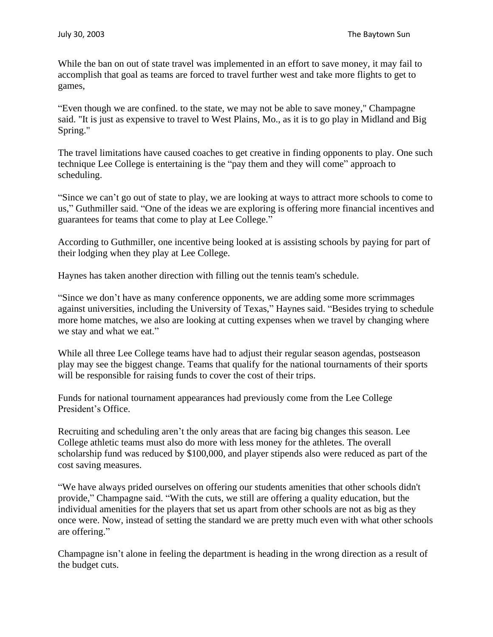While the ban on out of state travel was implemented in an effort to save money, it may fail to accomplish that goal as teams are forced to travel further west and take more flights to get to games,

"Even though we are confined. to the state, we may not be able to save money," Champagne said. "It is just as expensive to travel to West Plains, Mo., as it is to go play in Midland and Big Spring."

The travel limitations have caused coaches to get creative in finding opponents to play. One such technique Lee College is entertaining is the "pay them and they will come" approach to scheduling.

"Since we can't go out of state to play, we are looking at ways to attract more schools to come to us," Guthmiller said. "One of the ideas we are exploring is offering more financial incentives and guarantees for teams that come to play at Lee College."

According to Guthmiller, one incentive being looked at is assisting schools by paying for part of their lodging when they play at Lee College.

Haynes has taken another direction with filling out the tennis team's schedule.

"Since we don't have as many conference opponents, we are adding some more scrimmages against universities, including the University of Texas," Haynes said. "Besides trying to schedule more home matches, we also are looking at cutting expenses when we travel by changing where we stay and what we eat."

While all three Lee College teams have had to adjust their regular season agendas, postseason play may see the biggest change. Teams that qualify for the national tournaments of their sports will be responsible for raising funds to cover the cost of their trips.

Funds for national tournament appearances had previously come from the Lee College President's Office.

Recruiting and scheduling aren't the only areas that are facing big changes this season. Lee College athletic teams must also do more with less money for the athletes. The overall scholarship fund was reduced by \$100,000, and player stipends also were reduced as part of the cost saving measures.

"We have always prided ourselves on offering our students amenities that other schools didn't provide," Champagne said. "With the cuts, we still are offering a quality education, but the individual amenities for the players that set us apart from other schools are not as big as they once were. Now, instead of setting the standard we are pretty much even with what other schools are offering."

Champagne isn't alone in feeling the department is heading in the wrong direction as a result of the budget cuts.